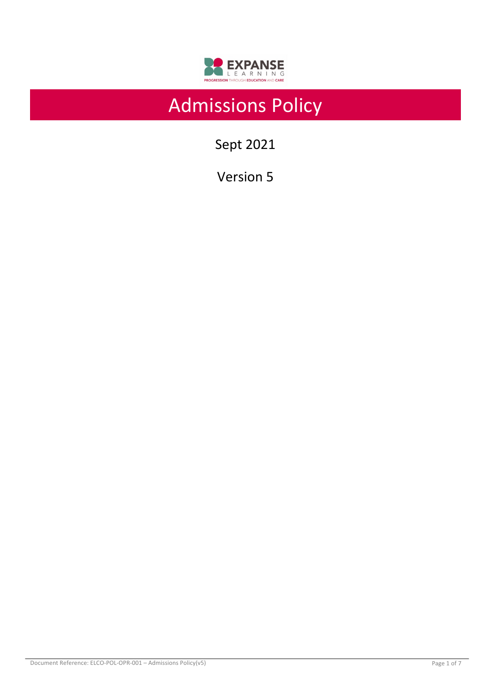

# Admissions Policy

Sept 2021

Version 5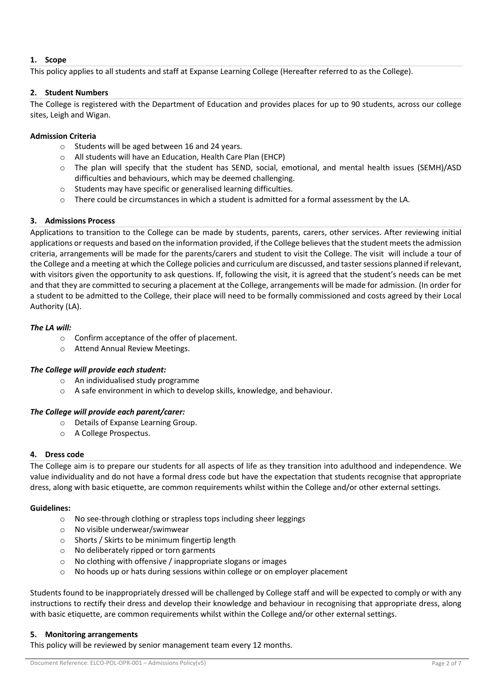## **1. Scope**

This policy applies to all students and staff at Expanse Learning College (Hereafter referred to as the College).

## **2. Student Numbers**

The College is registered with the Department of Education and provides places for up to 90 students, across our college sites, Leigh and Wigan.

# **Admission Criteria**

- o Students will be aged between 16 and 24 years.
- o All students will have an Education, Health Care Plan (EHCP)
- o The plan will specify that the student has SEND, social, emotional, and mental health issues (SEMH)/ASD difficulties and behaviours, which may be deemed challenging.
- o Students may have specific or generalised learning difficulties.
- $\circ$  There could be circumstances in which a student is admitted for a formal assessment by the LA.

#### **3. Admissions Process**

Applications to transition to the College can be made by students, parents, carers, other services. After reviewing initial applications or requests and based on the information provided, if the College believes that the student meets the admission criteria, arrangements will be made for the parents/carers and student to visit the College. The visit will include a tour of the College and a meeting at which the College policies and curriculum are discussed, and taster sessions planned if relevant, with visitors given the opportunity to ask questions. If, following the visit, it is agreed that the student's needs can be met and that they are committed to securing a placement at the College, arrangements will be made for admission. (In order for a student to be admitted to the College, their place will need to be formally commissioned and costs agreed by their Local Authority (LA).

# *The LA will:*

- o Confirm acceptance of the offer of placement.
- o Attend Annual Review Meetings.

#### *The College will provide each student:*

- o An individualised study programme
- o A safe environment in which to develop skills, knowledge, and behaviour.

#### *The College will provide each parent/carer:*

- o Details of Expanse Learning Group.
- o A College Prospectus.

#### **4. Dress code**

The College aim is to prepare our students for all aspects of life as they transition into adulthood and independence. We value individuality and do not have a formal dress code but have the expectation that students recognise that appropriate dress, along with basic etiquette, are common requirements whilst within the College and/or other external settings.

#### **Guidelines:**

- o No see-through clothing or strapless tops including sheer leggings
- o No visible underwear/swimwear
- o Shorts / Skirts to be minimum fingertip length
- o No deliberately ripped or torn garments
- o No clothing with offensive / inappropriate slogans or images
- o No hoods up or hats during sessions within college or on employer placement

Students found to be inappropriately dressed will be challenged by College staff and will be expected to comply or with any instructions to rectify their dress and develop their knowledge and behaviour in recognising that appropriate dress, along with basic etiquette, are common requirements whilst within the College and/or other external settings.

#### **5. Monitoring arrangements**

This policy will be reviewed by senior management team every 12 months.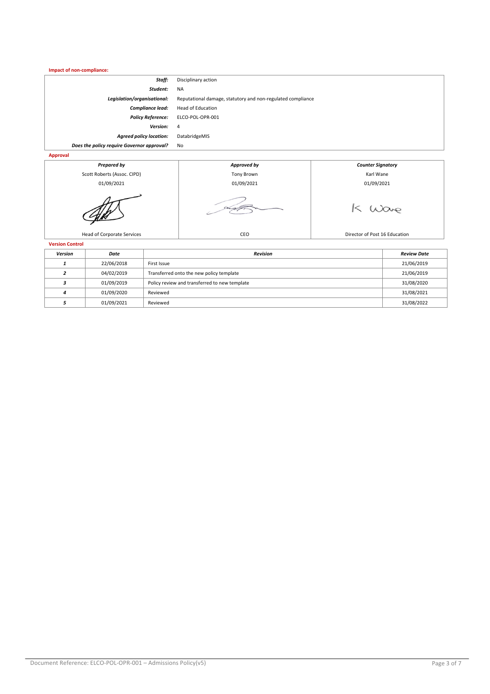| Impact of non-compliance:                  |                                                             |  |  |
|--------------------------------------------|-------------------------------------------------------------|--|--|
| Staff:                                     | Disciplinary action                                         |  |  |
| Student:                                   | <b>NA</b>                                                   |  |  |
| Legislation/organisational:                | Reputational damage, statutory and non-regulated compliance |  |  |
| <b>Compliance lead:</b>                    | Head of Education                                           |  |  |
| <b>Policy Reference:</b>                   | ELCO-POL-OPR-001                                            |  |  |
| <b>Version:</b>                            | $\overline{4}$                                              |  |  |
| <b>Agreed policy location:</b>             | DatabridgeMIS                                               |  |  |
| Does the policy require Governor approval? | No                                                          |  |  |
| <b>Approval</b>                            |                                                             |  |  |



| Version | Date       | <b>Revision</b>                               | <b>Review Date</b> |
|---------|------------|-----------------------------------------------|--------------------|
|         | 22/06/2018 | First Issue                                   | 21/06/2019         |
|         | 04/02/2019 | Transferred onto the new policy template      | 21/06/2019         |
|         | 01/09/2019 | Policy review and transferred to new template | 31/08/2020         |
|         | 01/09/2020 | Reviewed                                      | 31/08/2021         |
|         | 01/09/2021 | Reviewed                                      | 31/08/2022         |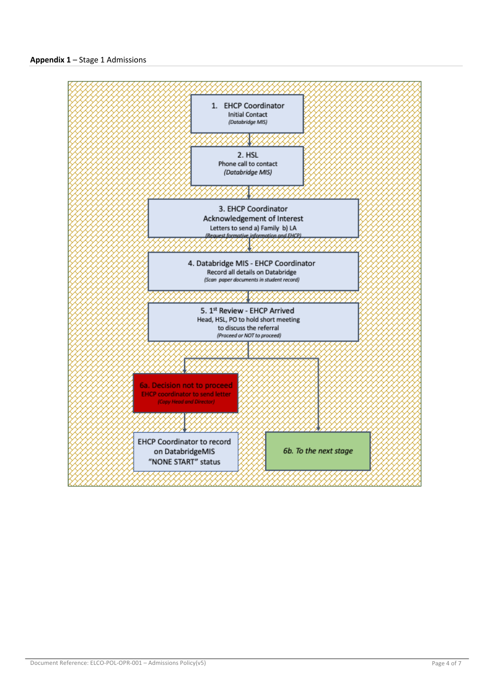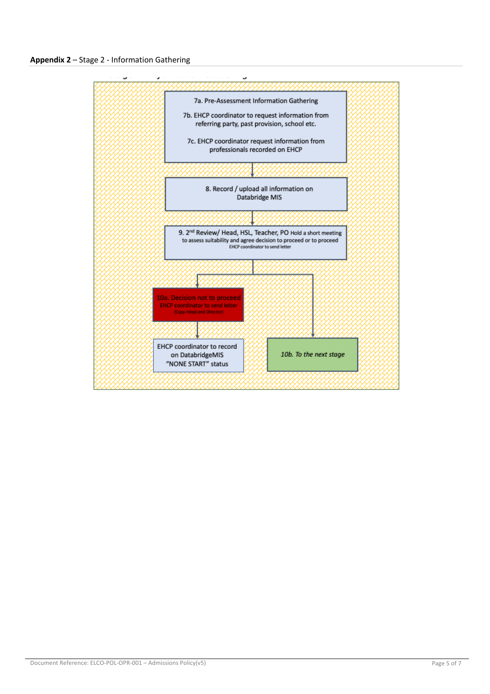**Appendix 2** – Stage 2 - Information Gathering

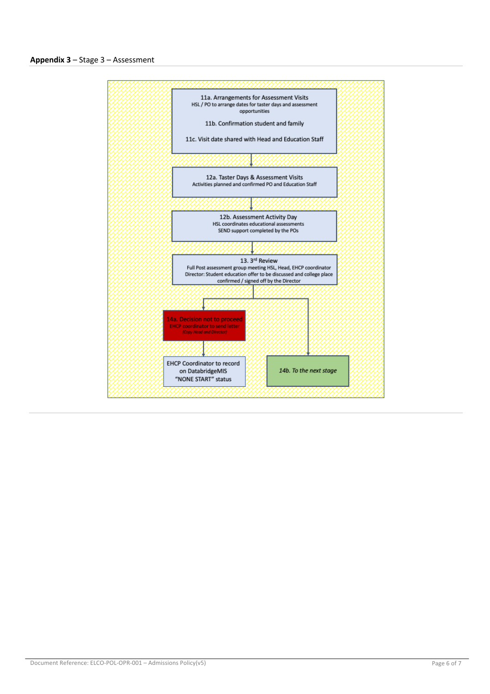